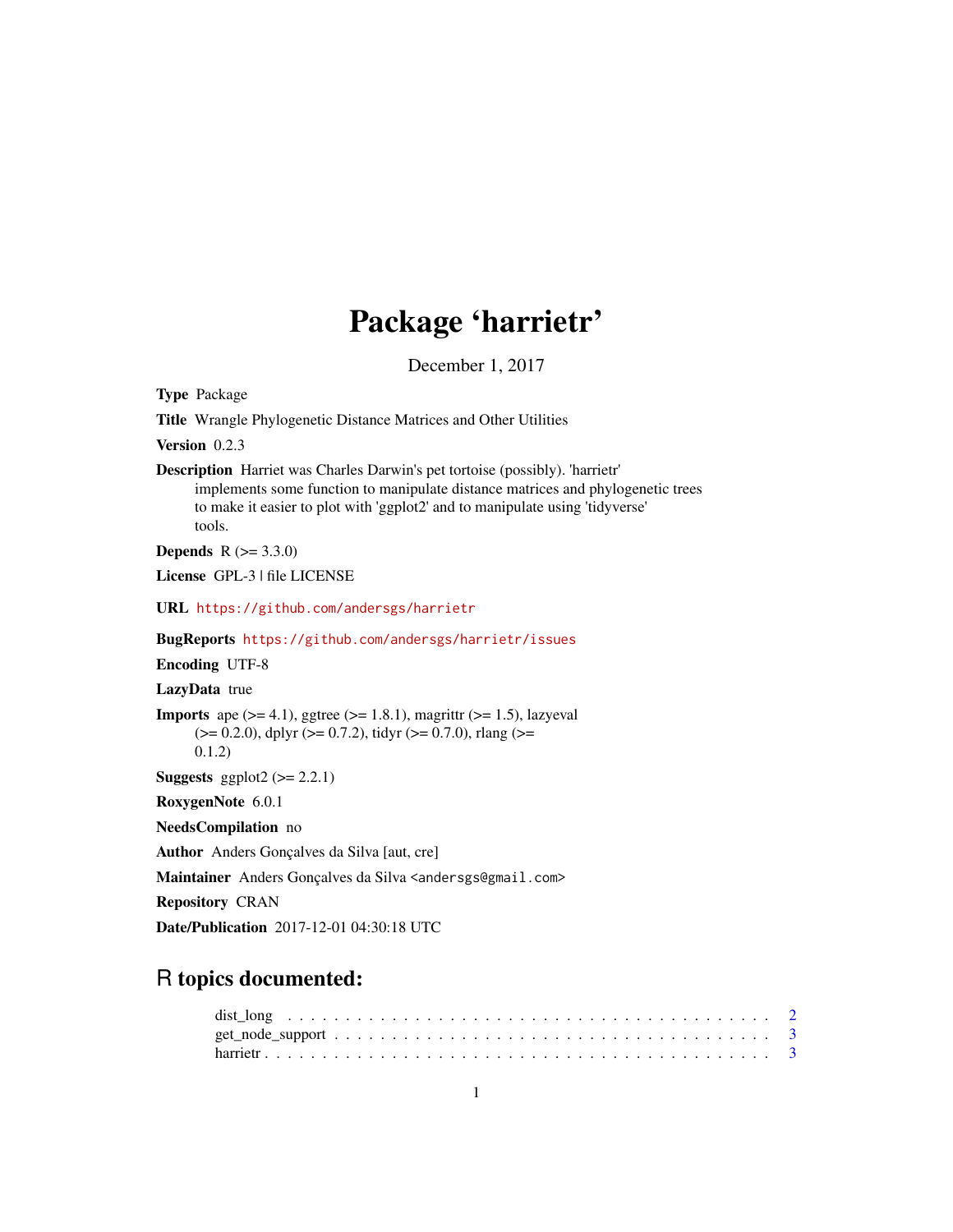# Package 'harrietr'

December 1, 2017

Type Package Title Wrangle Phylogenetic Distance Matrices and Other Utilities Version 0.2.3 Description Harriet was Charles Darwin's pet tortoise (possibly). 'harrietr' implements some function to manipulate distance matrices and phylogenetic trees to make it easier to plot with 'ggplot2' and to manipulate using 'tidyverse' tools. **Depends** R  $(>= 3.3.0)$ License GPL-3 | file LICENSE URL <https://github.com/andersgs/harrietr> BugReports <https://github.com/andersgs/harrietr/issues> Encoding UTF-8 LazyData true **Imports** ape  $(>= 4.1)$ , ggtree  $(>= 1.8.1)$ , magrittr  $(>= 1.5)$ , lazyeval  $(>= 0.2.0)$ , dplyr  $(>= 0.7.2)$ , tidyr  $(>= 0.7.0)$ , rlang  $(>= 0.2.0)$ 0.1.2) **Suggests** ggplot2  $(>= 2.2.1)$ RoxygenNote 6.0.1 NeedsCompilation no Author Anders Gonçalves da Silva [aut, cre] Maintainer Anders Gonçalves da Silva <andersgs@gmail.com> Repository CRAN Date/Publication 2017-12-01 04:30:18 UTC

## R topics documented: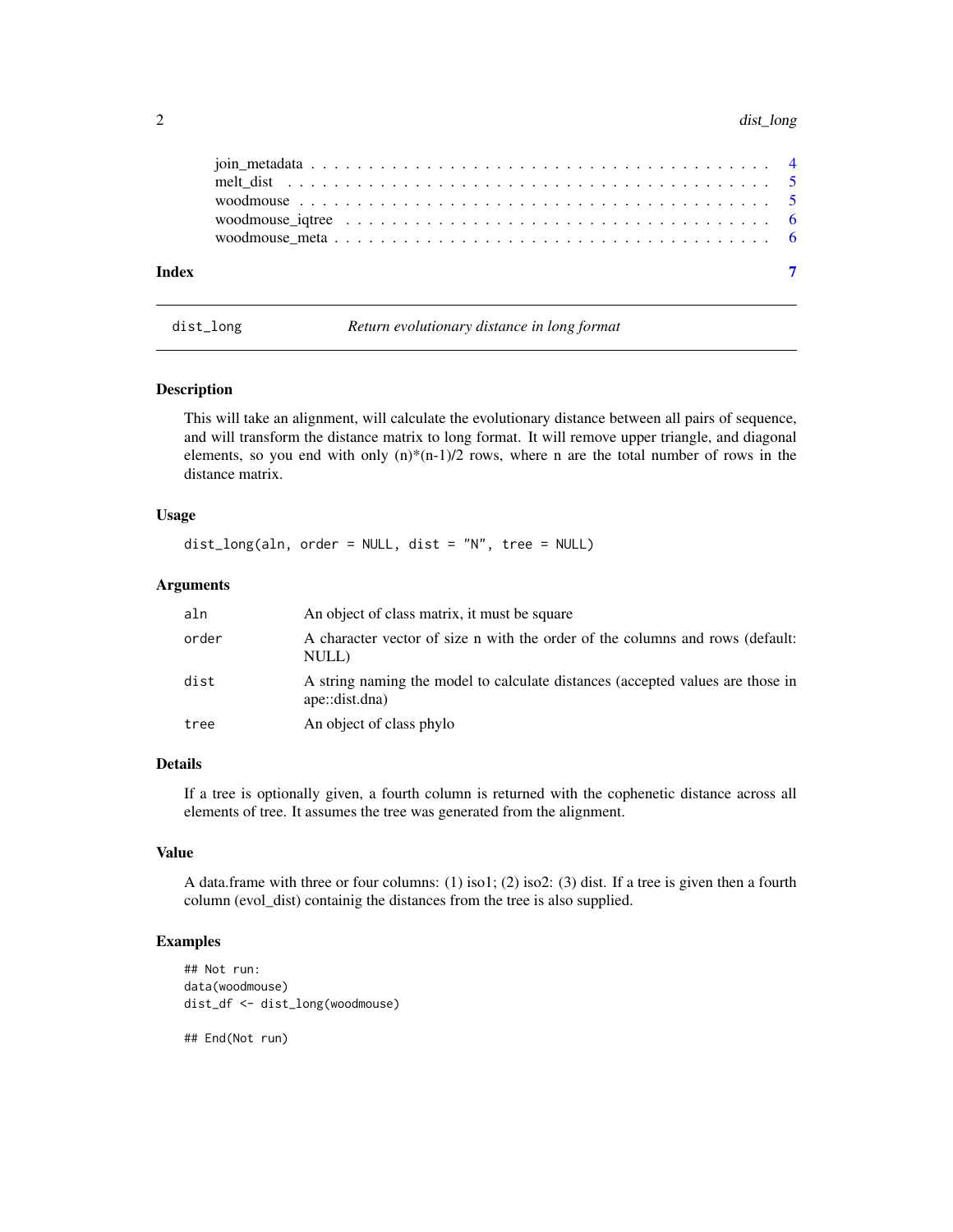#### <span id="page-1-0"></span>2 dist\_long

|       | woodmouse igtree $\dots \dots \dots \dots \dots \dots \dots \dots \dots \dots \dots \dots \dots \dots \dots$ |
|-------|--------------------------------------------------------------------------------------------------------------|
|       |                                                                                                              |
|       |                                                                                                              |
| Index |                                                                                                              |

dist\_long *Return evolutionary distance in long format*

#### Description

This will take an alignment, will calculate the evolutionary distance between all pairs of sequence, and will transform the distance matrix to long format. It will remove upper triangle, and diagonal elements, so you end with only  $(n)^*(n-1)/2$  rows, where n are the total number of rows in the distance matrix.

#### Usage

```
dist_long(aln, order = NULL, dist = "N", tree = NULL)
```
#### Arguments

| aln   | An object of class matrix, it must be square                                                     |
|-------|--------------------------------------------------------------------------------------------------|
| order | A character vector of size n with the order of the columns and rows (default:<br>NULL)           |
| dist  | A string naming the model to calculate distances (accepted values are those in<br>ape::dist.dna) |
| tree  | An object of class phylo                                                                         |

#### Details

If a tree is optionally given, a fourth column is returned with the cophenetic distance across all elements of tree. It assumes the tree was generated from the alignment.

#### Value

A data.frame with three or four columns:  $(1)$  iso1;  $(2)$  iso2:  $(3)$  dist. If a tree is given then a fourth column (evol\_dist) containig the distances from the tree is also supplied.

#### Examples

```
## Not run:
data(woodmouse)
dist_df <- dist_long(woodmouse)
```
## End(Not run)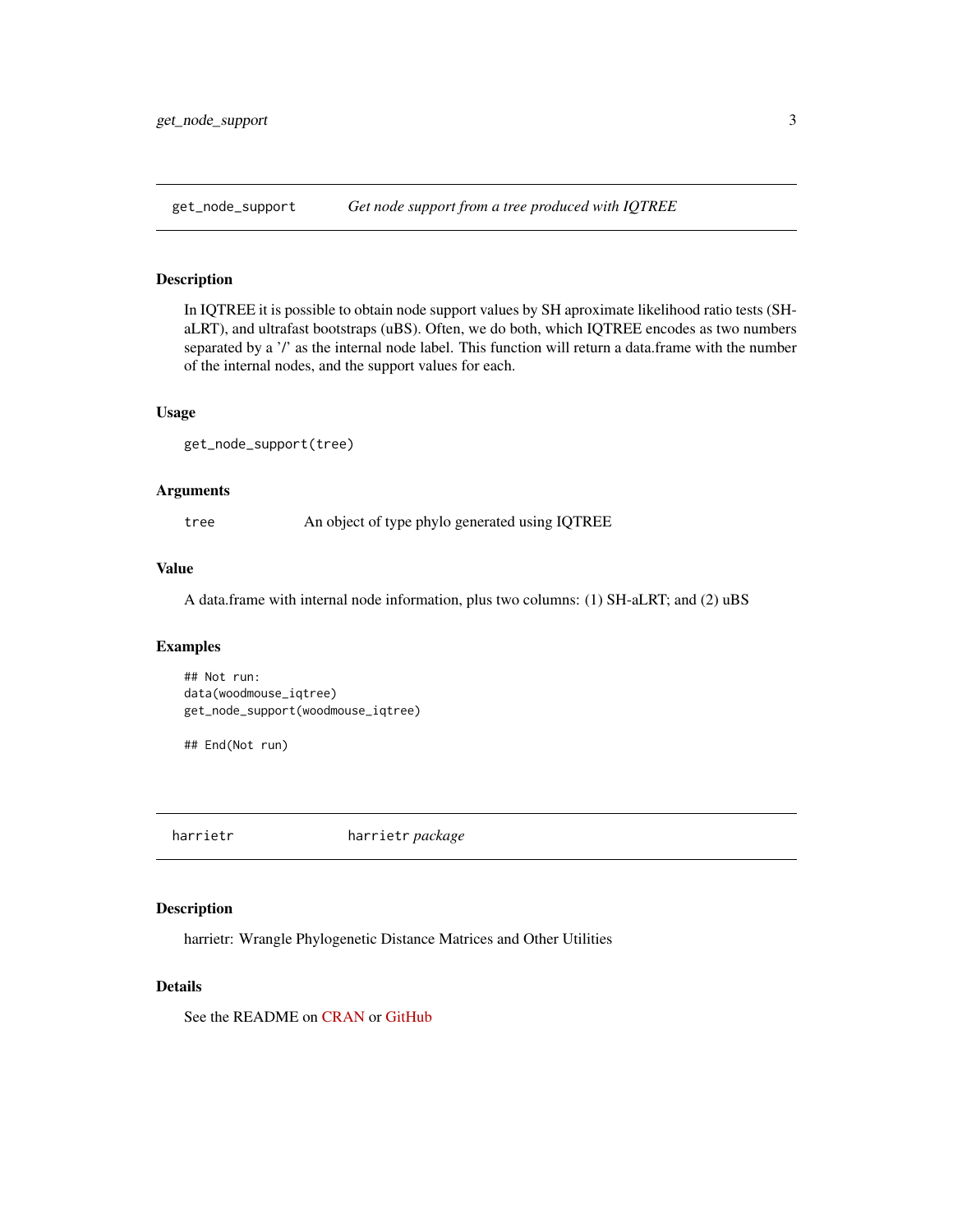<span id="page-2-0"></span>

#### Description

In IQTREE it is possible to obtain node support values by SH aproximate likelihood ratio tests (SHaLRT), and ultrafast bootstraps (uBS). Often, we do both, which IQTREE encodes as two numbers separated by a '/' as the internal node label. This function will return a data.frame with the number of the internal nodes, and the support values for each.

#### Usage

```
get_node_support(tree)
```
#### Arguments

tree An object of type phylo generated using IQTREE

#### Value

A data.frame with internal node information, plus two columns: (1) SH-aLRT; and (2) uBS

#### Examples

## Not run: data(woodmouse\_iqtree) get\_node\_support(woodmouse\_iqtree)

## End(Not run)

harrietr harrietr *package*

#### Description

harrietr: Wrangle Phylogenetic Distance Matrices and Other Utilities

#### Details

See the README on [CRAN](https://cran.r-project.org/package=harrietr/README.html) or [GitHub](https://github.com/andersgs/harrietr#readme)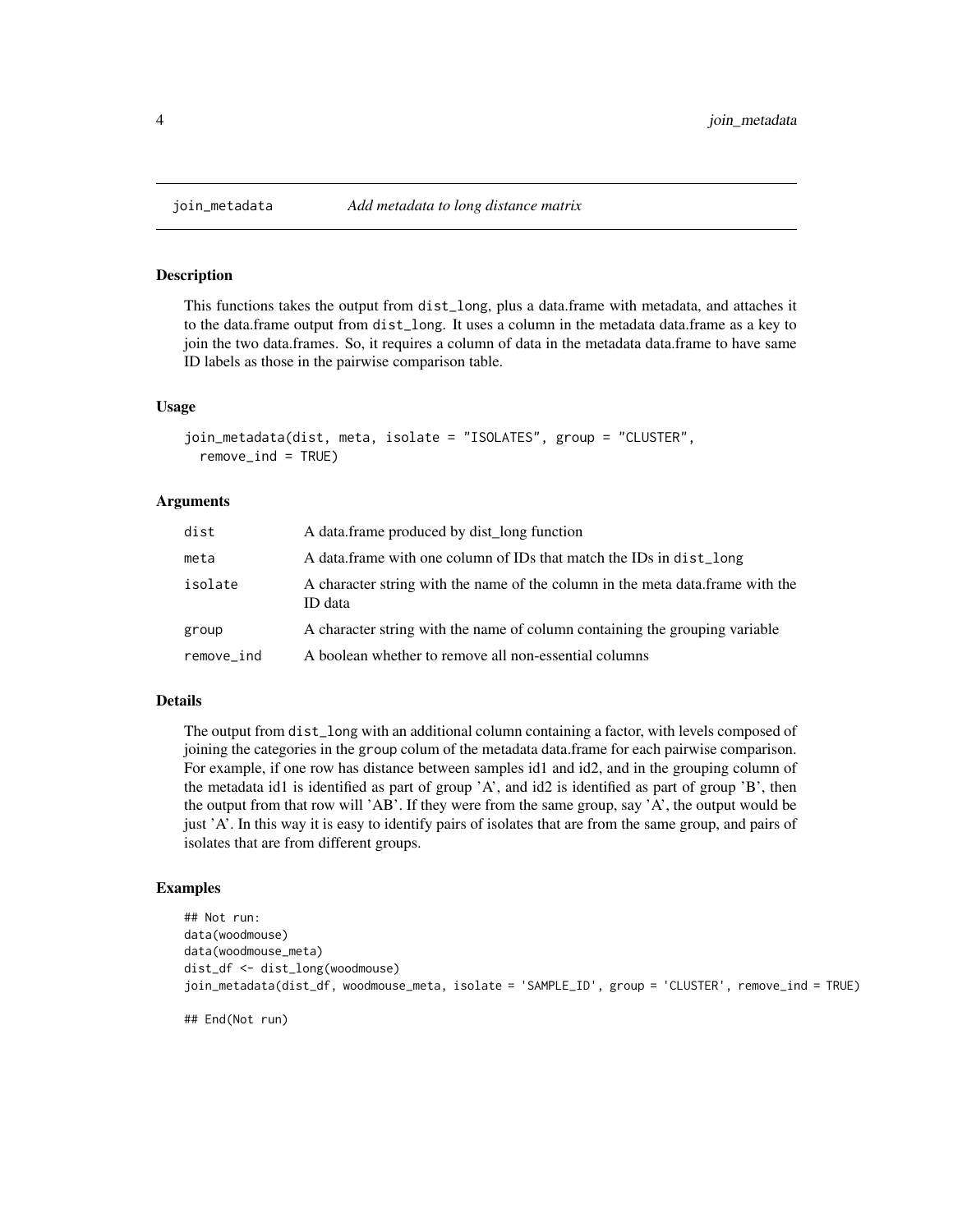#### Description

This functions takes the output from dist\_long, plus a data.frame with metadata, and attaches it to the data.frame output from dist\_long. It uses a column in the metadata data.frame as a key to join the two data.frames. So, it requires a column of data in the metadata data.frame to have same ID labels as those in the pairwise comparison table.

#### Usage

```
join_metadata(dist, meta, isolate = "ISOLATES", group = "CLUSTER",
  remove\_ind = TRUE)
```
#### Arguments

| dist       | A data frame produced by dist long function                                                |
|------------|--------------------------------------------------------------------------------------------|
| meta       | A data frame with one column of IDs that match the IDs in dist_long                        |
| isolate    | A character string with the name of the column in the meta data. frame with the<br>ID data |
| group      | A character string with the name of column containing the grouping variable                |
| remove_ind | A boolean whether to remove all non-essential columns                                      |

#### Details

The output from dist\_long with an additional column containing a factor, with levels composed of joining the categories in the group colum of the metadata data.frame for each pairwise comparison. For example, if one row has distance between samples id1 and id2, and in the grouping column of the metadata id1 is identified as part of group 'A', and id2 is identified as part of group 'B', then the output from that row will 'AB'. If they were from the same group, say 'A', the output would be just 'A'. In this way it is easy to identify pairs of isolates that are from the same group, and pairs of isolates that are from different groups.

#### Examples

```
## Not run:
data(woodmouse)
data(woodmouse_meta)
dist_df <- dist_long(woodmouse)
join_metadata(dist_df, woodmouse_meta, isolate = 'SAMPLE_ID', group = 'CLUSTER', remove_ind = TRUE)
```
## End(Not run)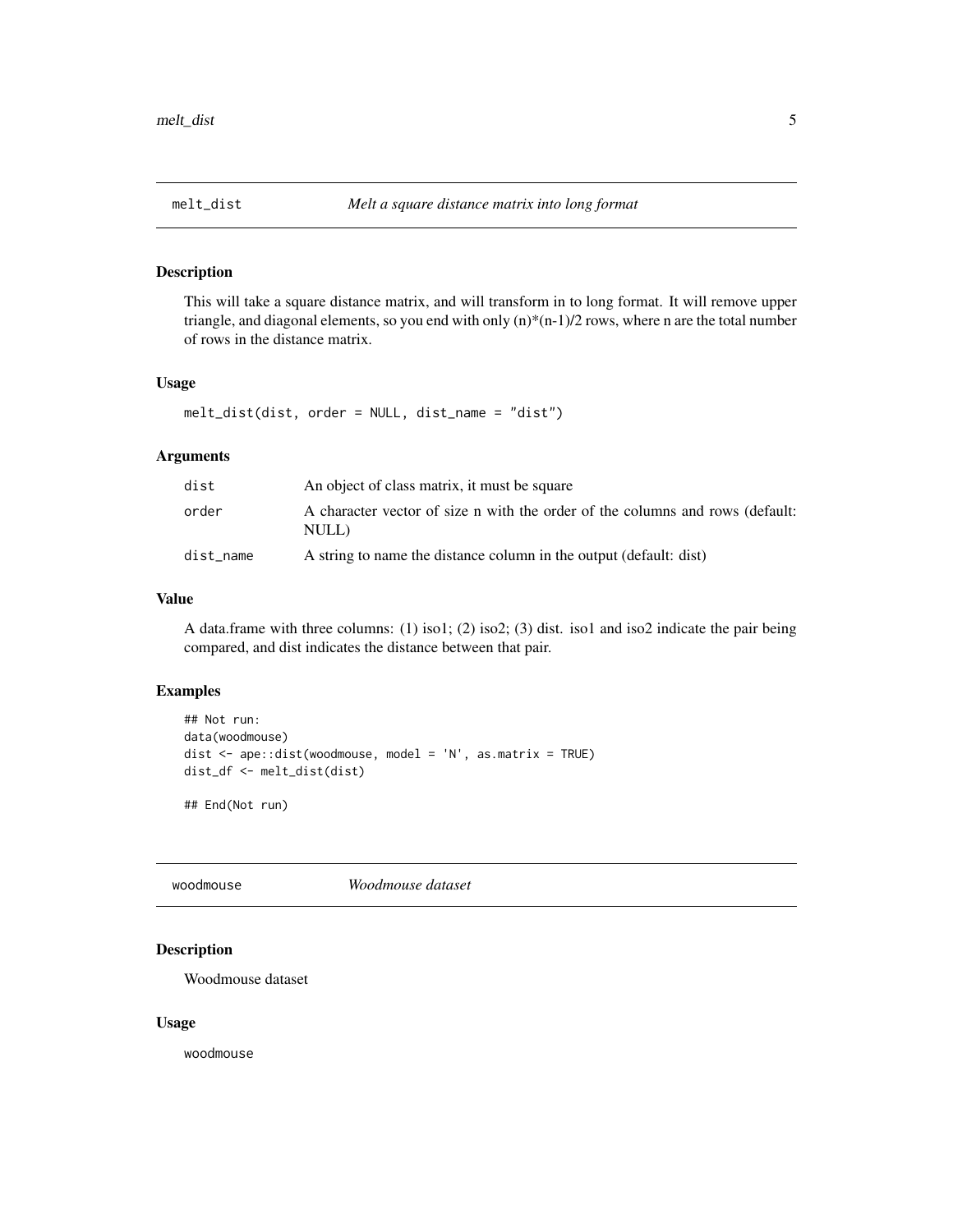#### <span id="page-4-0"></span>Description

This will take a square distance matrix, and will transform in to long format. It will remove upper triangle, and diagonal elements, so you end with only  $(n)^*(n-1)/2$  rows, where n are the total number of rows in the distance matrix.

#### Usage

melt\_dist(dist, order = NULL, dist\_name = "dist")

#### Arguments

| dist      | An object of class matrix, it must be square                                           |
|-----------|----------------------------------------------------------------------------------------|
| order     | A character vector of size n with the order of the columns and rows (default:<br>NULL) |
| dist_name | A string to name the distance column in the output (default: dist)                     |

#### Value

A data.frame with three columns: (1) iso1; (2) iso2; (3) dist. iso1 and iso2 indicate the pair being compared, and dist indicates the distance between that pair.

#### Examples

```
## Not run:
data(woodmouse)
dist <- ape::dist(woodmouse, model = 'N', as.matrix = TRUE)
dist_df <- melt_dist(dist)
```
## End(Not run)

<span id="page-4-1"></span>woodmouse *Woodmouse dataset*

#### Description

Woodmouse dataset

#### Usage

woodmouse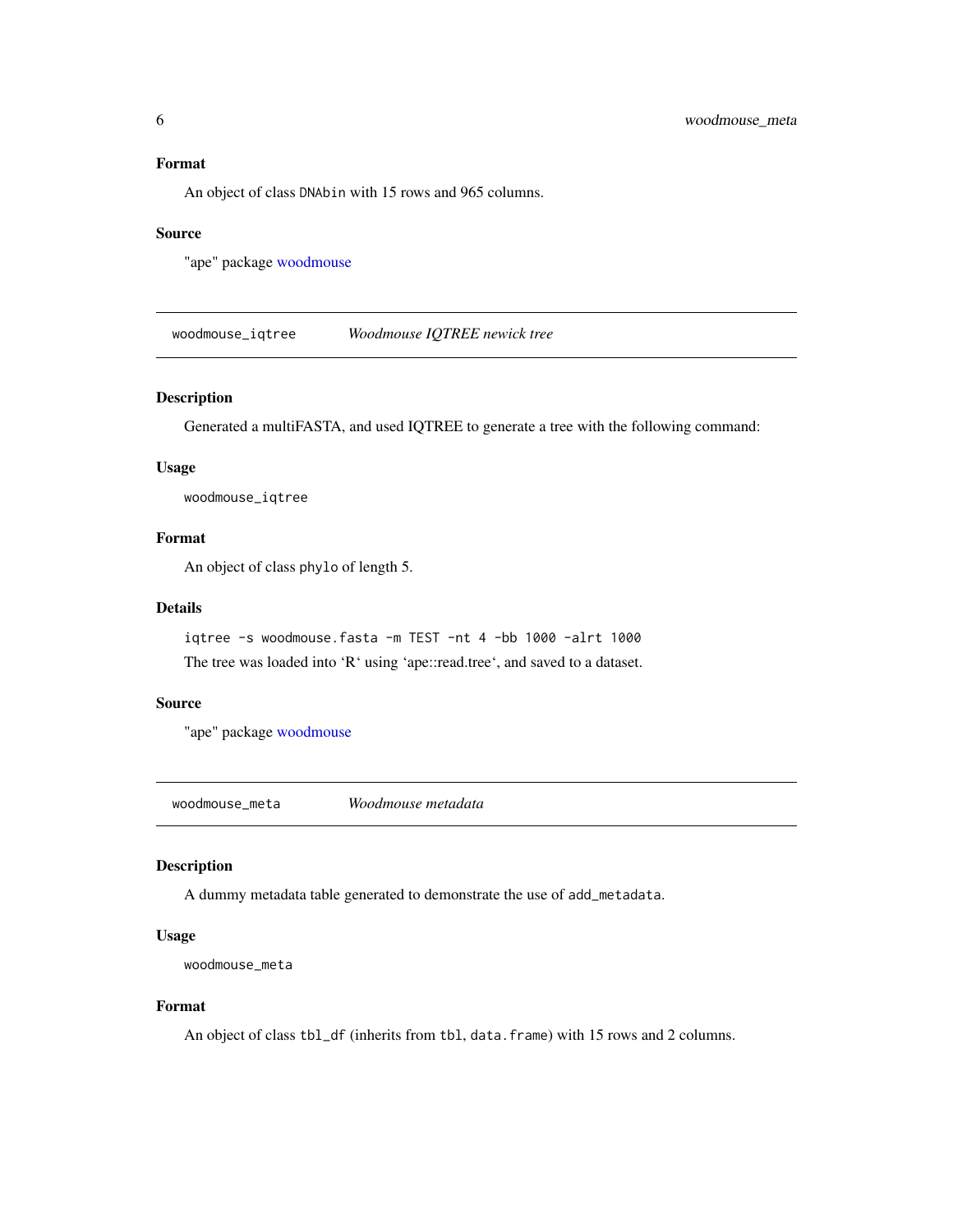#### <span id="page-5-0"></span>Format

An object of class DNAbin with 15 rows and 965 columns.

#### Source

"ape" package [woodmouse](#page-4-1)

woodmouse\_iqtree *Woodmouse IQTREE newick tree*

#### Description

Generated a multiFASTA, and used IQTREE to generate a tree with the following command:

#### Usage

woodmouse\_iqtree

#### Format

An object of class phylo of length 5.

#### Details

iqtree -s woodmouse.fasta -m TEST -nt 4 -bb 1000 -alrt 1000 The tree was loaded into 'R' using 'ape::read.tree', and saved to a dataset.

#### Source

"ape" package [woodmouse](#page-4-1)

woodmouse\_meta *Woodmouse metadata*

### Description

A dummy metadata table generated to demonstrate the use of add\_metadata.

#### Usage

```
woodmouse_meta
```
#### Format

An object of class tbl\_df (inherits from tbl, data.frame) with 15 rows and 2 columns.